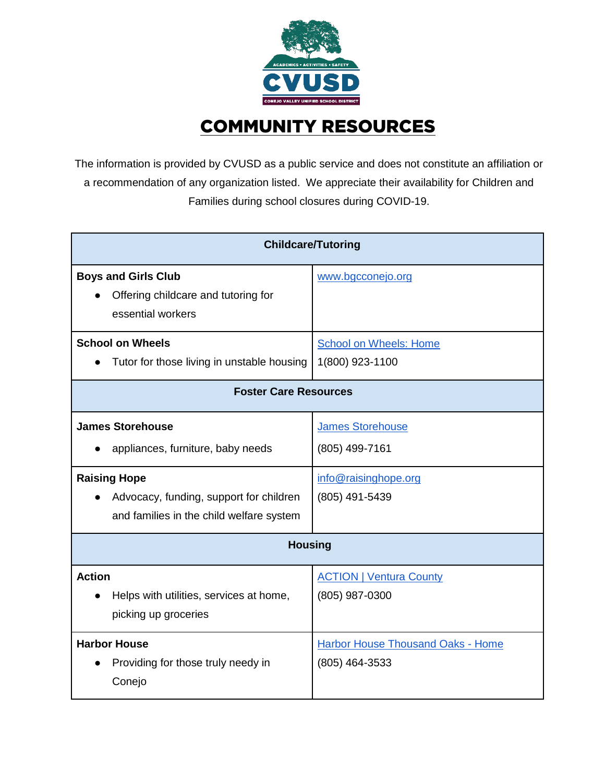

## COMMUNITY RESOURCES

The information is provided by CVUSD as a public service and does not constitute an affiliation or a recommendation of any organization listed. We appreciate their availability for Children and Families during school closures during COVID-19.

| <b>Childcare/Tutoring</b>                                                                                                                                                  |                                                                                     |  |
|----------------------------------------------------------------------------------------------------------------------------------------------------------------------------|-------------------------------------------------------------------------------------|--|
| <b>Boys and Girls Club</b><br>Offering childcare and tutoring for<br>essential workers                                                                                     | www.bgcconejo.org                                                                   |  |
| <b>School on Wheels</b><br>Tutor for those living in unstable housing                                                                                                      | <b>School on Wheels: Home</b><br>1(800) 923-1100                                    |  |
| <b>Foster Care Resources</b>                                                                                                                                               |                                                                                     |  |
| <b>James Storehouse</b><br>appliances, furniture, baby needs<br><b>Raising Hope</b><br>Advocacy, funding, support for children<br>and families in the child welfare system | <b>James Storehouse</b><br>(805) 499-7161<br>info@raisinghope.org<br>(805) 491-5439 |  |
| <b>Housing</b>                                                                                                                                                             |                                                                                     |  |
| <b>Action</b><br>Helps with utilities, services at home,<br>picking up groceries                                                                                           | <b>ACTION   Ventura County</b><br>(805) 987-0300                                    |  |
| <b>Harbor House</b><br>Providing for those truly needy in<br>Conejo                                                                                                        | <b>Harbor House Thousand Oaks - Home</b><br>(805) 464-3533                          |  |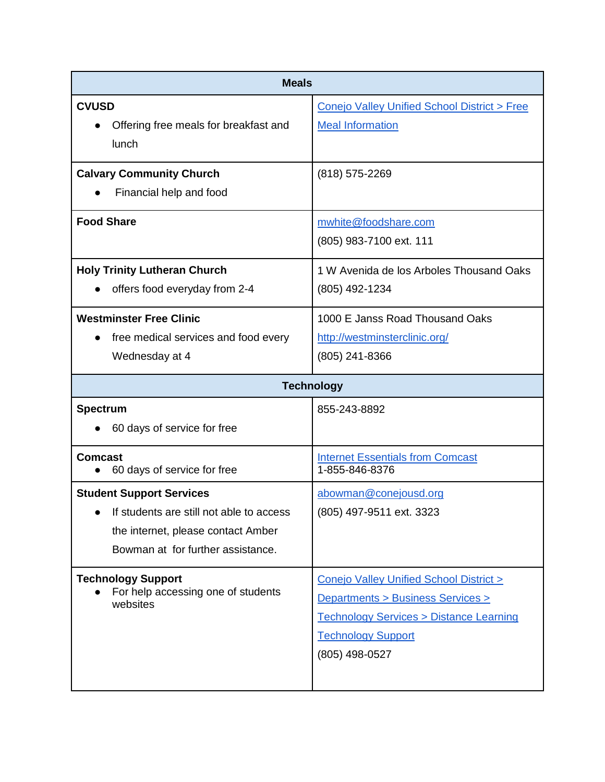| <b>Meals</b>                                                                                                                                                     |                                                                                                                                                                                  |  |
|------------------------------------------------------------------------------------------------------------------------------------------------------------------|----------------------------------------------------------------------------------------------------------------------------------------------------------------------------------|--|
| <b>CVUSD</b><br>Offering free meals for breakfast and<br>lunch                                                                                                   | Conejo Valley Unified School District > Free<br><b>Meal Information</b>                                                                                                          |  |
| <b>Calvary Community Church</b><br>Financial help and food                                                                                                       | (818) 575-2269                                                                                                                                                                   |  |
| <b>Food Share</b>                                                                                                                                                | mwhite@foodshare.com<br>(805) 983-7100 ext. 111                                                                                                                                  |  |
| <b>Holy Trinity Lutheran Church</b><br>offers food everyday from 2-4                                                                                             | 1 W Avenida de los Arboles Thousand Oaks<br>(805) 492-1234                                                                                                                       |  |
| <b>Westminster Free Clinic</b><br>free medical services and food every<br>Wednesday at 4                                                                         | 1000 E Janss Road Thousand Oaks<br>http://westminsterclinic.org/<br>(805) 241-8366                                                                                               |  |
| <b>Technology</b>                                                                                                                                                |                                                                                                                                                                                  |  |
| <b>Spectrum</b><br>60 days of service for free                                                                                                                   | 855-243-8892                                                                                                                                                                     |  |
| <b>Comcast</b><br>60 days of service for free                                                                                                                    | <b>Internet Essentials from Comcast</b><br>1-855-846-8376                                                                                                                        |  |
| <b>Student Support Services</b><br>$\bullet$ If students are still not able to access<br>the internet, please contact Amber<br>Bowman at for further assistance. | abowman@conejousd.org<br>(805) 497-9511 ext. 3323                                                                                                                                |  |
| <b>Technology Support</b><br>For help accessing one of students<br>websites                                                                                      | Conejo Valley Unified School District ><br>Departments > Business Services ><br><b>Technology Services &gt; Distance Learning</b><br><b>Technology Support</b><br>(805) 498-0527 |  |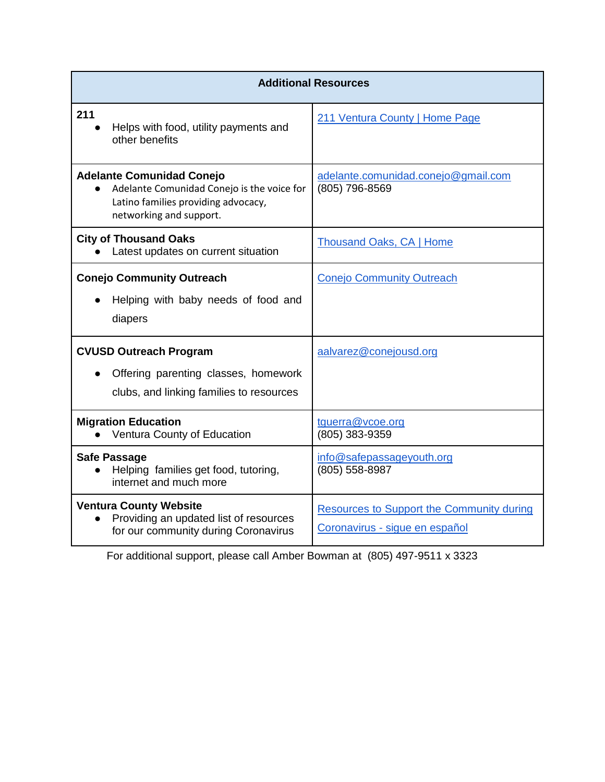| <b>Additional Resources</b>                                                                                                                      |                                                                                    |  |
|--------------------------------------------------------------------------------------------------------------------------------------------------|------------------------------------------------------------------------------------|--|
| 211<br>Helps with food, utility payments and<br>other benefits                                                                                   | 211 Ventura County   Home Page                                                     |  |
| <b>Adelante Comunidad Conejo</b><br>Adelante Comunidad Conejo is the voice for<br>Latino families providing advocacy,<br>networking and support. | adelante.comunidad.conejo@gmail.com<br>(805) 796-8569                              |  |
| <b>City of Thousand Oaks</b><br>Latest updates on current situation                                                                              | <b>Thousand Oaks, CA   Home</b>                                                    |  |
| <b>Conejo Community Outreach</b><br>Helping with baby needs of food and<br>diapers                                                               | <b>Conejo Community Outreach</b>                                                   |  |
| <b>CVUSD Outreach Program</b><br>Offering parenting classes, homework<br>clubs, and linking families to resources                                | aalvarez@conejousd.org                                                             |  |
| <b>Migration Education</b><br>Ventura County of Education                                                                                        | tguerra@vcoe.org<br>(805) 383-9359                                                 |  |
| <b>Safe Passage</b><br>Helping families get food, tutoring,<br>internet and much more                                                            | info@safepassageyouth.org<br>(805) 558-8987                                        |  |
| <b>Ventura County Website</b><br>Providing an updated list of resources<br>for our community during Coronavirus                                  | <b>Resources to Support the Community during</b><br>Coronavirus - sigue en español |  |

For additional support, please call Amber Bowman at (805) 497-9511 x 3323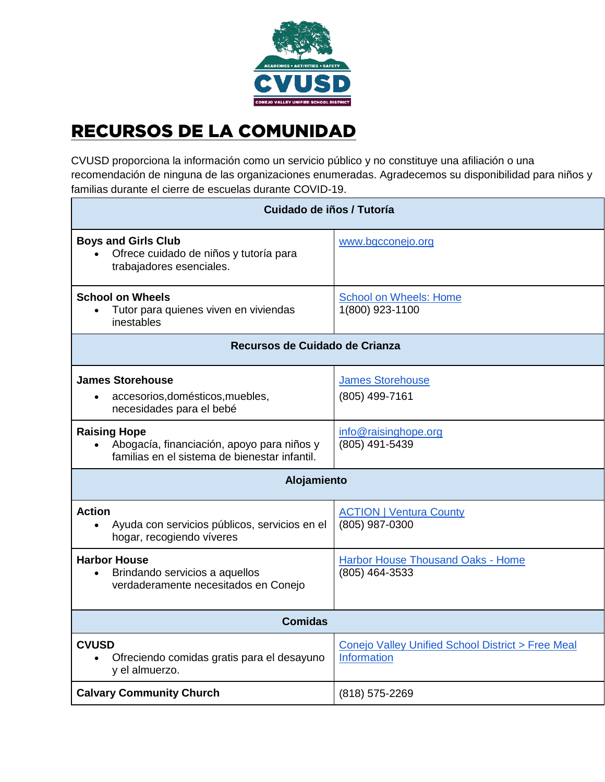

## RECURSOS DE LA COMUNIDAD

CVUSD proporciona la información como un servicio público y no constituye una afiliación o una recomendación de ninguna de las organizaciones enumeradas. Agradecemos su disponibilidad para niños y familias durante el cierre de escuelas durante COVID-19.

| Cuidado de iños / Tutoría                                                                                                       |                                                                  |  |
|---------------------------------------------------------------------------------------------------------------------------------|------------------------------------------------------------------|--|
| <b>Boys and Girls Club</b><br>Ofrece cuidado de niños y tutoría para<br>$\bullet$<br>trabajadores esenciales.                   | www.bgcconejo.org                                                |  |
| <b>School on Wheels</b><br>Tutor para quienes viven en viviendas<br>inestables                                                  | <b>School on Wheels: Home</b><br>1(800) 923-1100                 |  |
| Recursos de Cuidado de Crianza                                                                                                  |                                                                  |  |
| <b>James Storehouse</b><br>accesorios, domésticos, muebles,<br>$\bullet$<br>necesidades para el bebé                            | <b>James Storehouse</b><br>(805) 499-7161                        |  |
| <b>Raising Hope</b><br>Abogacía, financiación, apoyo para niños y<br>$\bullet$<br>familias en el sistema de bienestar infantil. | info@raisinghope.org<br>(805) 491-5439                           |  |
| Alojamiento                                                                                                                     |                                                                  |  |
| <b>Action</b><br>Ayuda con servicios públicos, servicios en el<br>hogar, recogiendo víveres                                     | <b>ACTION   Ventura County</b><br>(805) 987-0300                 |  |
| <b>Harbor House</b><br>Brindando servicios a aquellos<br>$\bullet$<br>verdaderamente necesitados en Conejo                      | Harbor House Thousand Oaks - Home<br>(805) 464-3533              |  |
| <b>Comidas</b>                                                                                                                  |                                                                  |  |
| <b>CVUSD</b><br>Ofreciendo comidas gratis para el desayuno<br>y el almuerzo.                                                    | Conejo Valley Unified School District > Free Meal<br>Information |  |
| <b>Calvary Community Church</b>                                                                                                 | (818) 575-2269                                                   |  |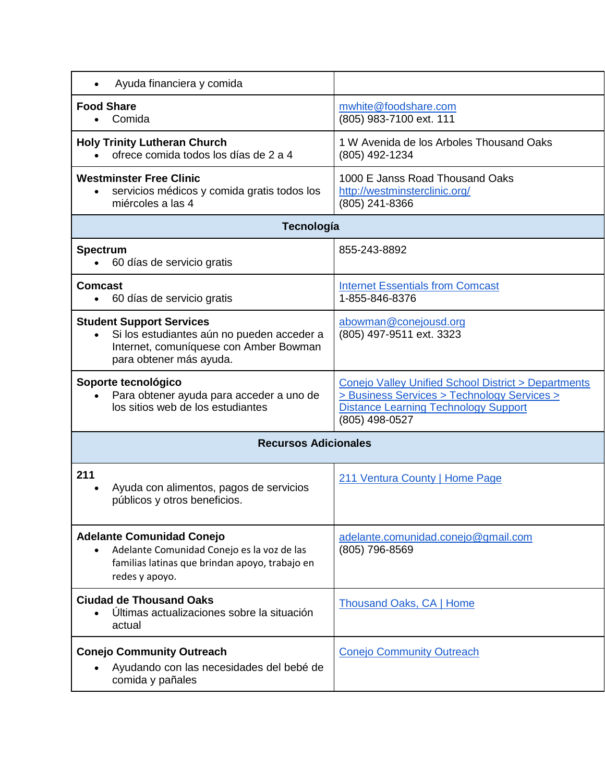| Ayuda financiera y comida                                                                                                                          |                                                                                                                                                                     |  |
|----------------------------------------------------------------------------------------------------------------------------------------------------|---------------------------------------------------------------------------------------------------------------------------------------------------------------------|--|
| <b>Food Share</b><br>Comida                                                                                                                        | mwhite@foodshare.com<br>(805) 983-7100 ext. 111                                                                                                                     |  |
| <b>Holy Trinity Lutheran Church</b><br>ofrece comida todos los días de 2 a 4                                                                       | 1 W Avenida de los Arboles Thousand Oaks<br>(805) 492-1234                                                                                                          |  |
| <b>Westminster Free Clinic</b><br>servicios médicos y comida gratis todos los<br>miércoles a las 4                                                 | 1000 E Janss Road Thousand Oaks<br>http://westminsterclinic.org/<br>(805) 241-8366                                                                                  |  |
| Tecnología                                                                                                                                         |                                                                                                                                                                     |  |
| <b>Spectrum</b><br>60 días de servicio gratis                                                                                                      | 855-243-8892                                                                                                                                                        |  |
| <b>Comcast</b><br>60 días de servicio gratis                                                                                                       | <b>Internet Essentials from Comcast</b><br>1-855-846-8376                                                                                                           |  |
| <b>Student Support Services</b><br>Si los estudiantes aún no pueden acceder a<br>Internet, comuníquese con Amber Bowman<br>para obtener más ayuda. | abowman@conejousd.org<br>(805) 497-9511 ext. 3323                                                                                                                   |  |
| Soporte tecnológico<br>Para obtener ayuda para acceder a uno de<br>los sitios web de los estudiantes                                               | Conejo Valley Unified School District > Departments<br>> Business Services > Technology Services ><br><b>Distance Learning Technology Support</b><br>(805) 498-0527 |  |
| <b>Recursos Adicionales</b>                                                                                                                        |                                                                                                                                                                     |  |
| 211<br>Ayuda con alimentos, pagos de servicios<br>públicos y otros beneficios.                                                                     | 211 Ventura County   Home Page                                                                                                                                      |  |
| <b>Adelante Comunidad Conejo</b><br>Adelante Comunidad Conejo es la voz de las<br>familias latinas que brindan apoyo, trabajo en<br>redes y apoyo. | adelante.comunidad.conejo@gmail.com<br>(805) 796-8569                                                                                                               |  |
| <b>Ciudad de Thousand Oaks</b><br>Últimas actualizaciones sobre la situación<br>actual                                                             | <b>Thousand Oaks, CA   Home</b>                                                                                                                                     |  |
| <b>Conejo Community Outreach</b><br>Ayudando con las necesidades del bebé de<br>comida y pañales                                                   | <b>Conejo Community Outreach</b>                                                                                                                                    |  |